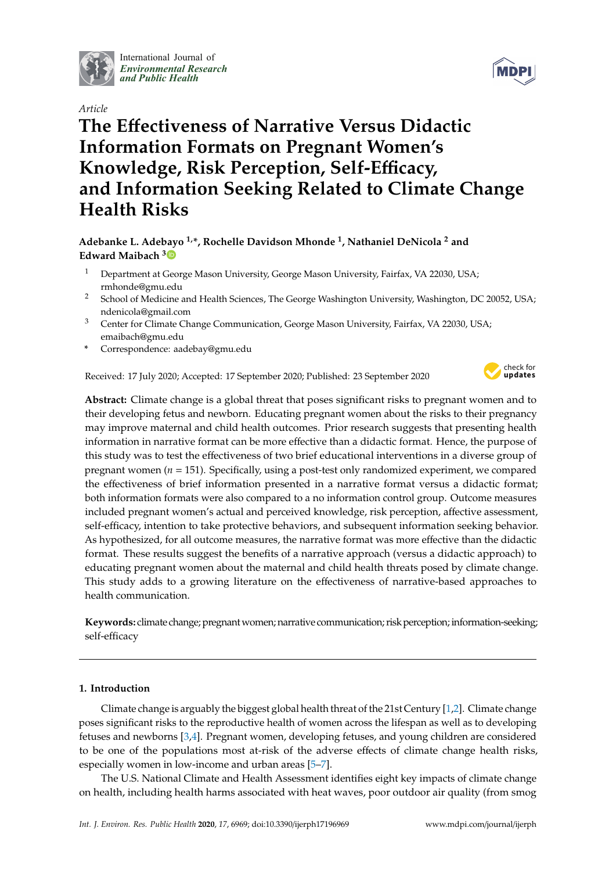

International Journal of *[Environmental Research](http://www.mdpi.com/journal/ijerph) and Public Health*

*Article*



# **The E**ff**ectiveness of Narrative Versus Didactic Information Formats on Pregnant Women's Knowledge, Risk Perception, Self-E**ffi**cacy, and Information Seeking Related to Climate Change Health Risks**

# **Adebanke L. Adebayo 1,\*, Rochelle Davidson Mhonde <sup>1</sup> , Nathaniel DeNicola <sup>2</sup> and Edward Maibach [3](https://orcid.org/0000-0003-3409-9187)**

- <sup>1</sup> Department at George Mason University, George Mason University, Fairfax, VA 22030, USA; rmhonde@gmu.edu
- <sup>2</sup> School of Medicine and Health Sciences, The George Washington University, Washington, DC 20052, USA; ndenicola@gmail.com
- <sup>3</sup> Center for Climate Change Communication, George Mason University, Fairfax, VA 22030, USA; emaibach@gmu.edu
- **\*** Correspondence: aadebay@gmu.edu

Received: 17 July 2020; Accepted: 17 September 2020; Published: 23 September 2020



**Abstract:** Climate change is a global threat that poses significant risks to pregnant women and to their developing fetus and newborn. Educating pregnant women about the risks to their pregnancy may improve maternal and child health outcomes. Prior research suggests that presenting health information in narrative format can be more effective than a didactic format. Hence, the purpose of this study was to test the effectiveness of two brief educational interventions in a diverse group of pregnant women (*n* = 151). Specifically, using a post-test only randomized experiment, we compared the effectiveness of brief information presented in a narrative format versus a didactic format; both information formats were also compared to a no information control group. Outcome measures included pregnant women's actual and perceived knowledge, risk perception, affective assessment, self-efficacy, intention to take protective behaviors, and subsequent information seeking behavior. As hypothesized, for all outcome measures, the narrative format was more effective than the didactic format. These results suggest the benefits of a narrative approach (versus a didactic approach) to educating pregnant women about the maternal and child health threats posed by climate change. This study adds to a growing literature on the effectiveness of narrative-based approaches to health communication.

**Keywords:** climate change; pregnantwomen; narrative communication; risk perception; information-seeking; self-efficacy

# **1. Introduction**

Climate change is arguably the biggest global health threat of the 21st Century [\[1,](#page-10-0)[2\]](#page-10-1). Climate change poses significant risks to the reproductive health of women across the lifespan as well as to developing fetuses and newborns [\[3,](#page-10-2)[4\]](#page-10-3). Pregnant women, developing fetuses, and young children are considered to be one of the populations most at-risk of the adverse effects of climate change health risks, especially women in low-income and urban areas [\[5](#page-10-4)[–7\]](#page-10-5).

The U.S. National Climate and Health Assessment identifies eight key impacts of climate change on health, including health harms associated with heat waves, poor outdoor air quality (from smog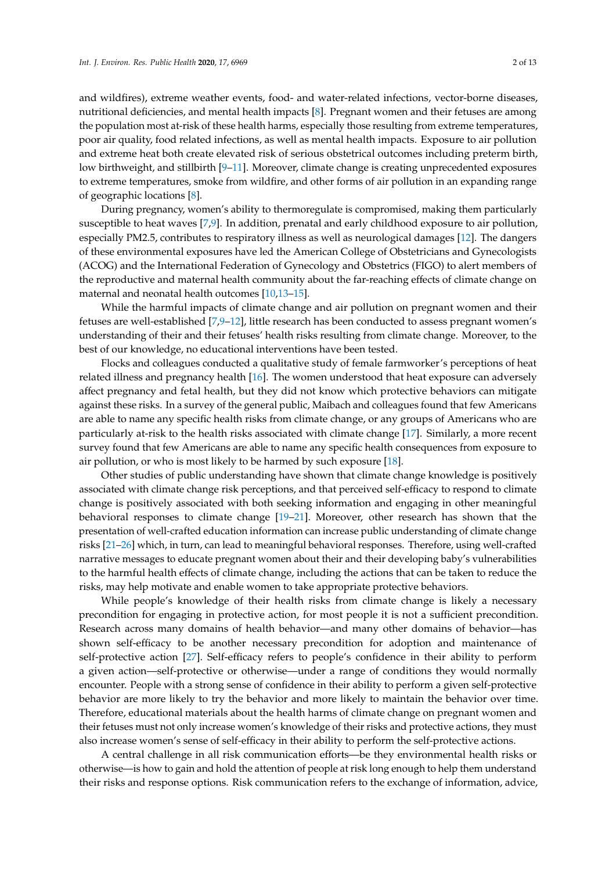and wildfires), extreme weather events, food- and water-related infections, vector-borne diseases, nutritional deficiencies, and mental health impacts [\[8\]](#page-10-6). Pregnant women and their fetuses are among the population most at-risk of these health harms, especially those resulting from extreme temperatures, poor air quality, food related infections, as well as mental health impacts. Exposure to air pollution and extreme heat both create elevated risk of serious obstetrical outcomes including preterm birth, low birthweight, and stillbirth [\[9–](#page-10-7)[11\]](#page-10-8). Moreover, climate change is creating unprecedented exposures to extreme temperatures, smoke from wildfire, and other forms of air pollution in an expanding range of geographic locations [\[8\]](#page-10-6).

During pregnancy, women's ability to thermoregulate is compromised, making them particularly susceptible to heat waves [\[7,](#page-10-5)[9\]](#page-10-7). In addition, prenatal and early childhood exposure to air pollution, especially PM2.5, contributes to respiratory illness as well as neurological damages [\[12\]](#page-10-9). The dangers of these environmental exposures have led the American College of Obstetricians and Gynecologists (ACOG) and the International Federation of Gynecology and Obstetrics (FIGO) to alert members of the reproductive and maternal health community about the far-reaching effects of climate change on maternal and neonatal health outcomes [\[10](#page-10-10)[,13–](#page-10-11)[15\]](#page-10-12).

While the harmful impacts of climate change and air pollution on pregnant women and their fetuses are well-established [\[7](#page-10-5)[,9](#page-10-7)[–12\]](#page-10-9), little research has been conducted to assess pregnant women's understanding of their and their fetuses' health risks resulting from climate change. Moreover, to the best of our knowledge, no educational interventions have been tested.

Flocks and colleagues conducted a qualitative study of female farmworker's perceptions of heat related illness and pregnancy health [\[16\]](#page-11-0). The women understood that heat exposure can adversely affect pregnancy and fetal health, but they did not know which protective behaviors can mitigate against these risks. In a survey of the general public, Maibach and colleagues found that few Americans are able to name any specific health risks from climate change, or any groups of Americans who are particularly at-risk to the health risks associated with climate change [\[17\]](#page-11-1). Similarly, a more recent survey found that few Americans are able to name any specific health consequences from exposure to air pollution, or who is most likely to be harmed by such exposure [\[18\]](#page-11-2).

Other studies of public understanding have shown that climate change knowledge is positively associated with climate change risk perceptions, and that perceived self-efficacy to respond to climate change is positively associated with both seeking information and engaging in other meaningful behavioral responses to climate change [\[19](#page-11-3)[–21\]](#page-11-4). Moreover, other research has shown that the presentation of well-crafted education information can increase public understanding of climate change risks [\[21](#page-11-4)[–26\]](#page-11-5) which, in turn, can lead to meaningful behavioral responses. Therefore, using well-crafted narrative messages to educate pregnant women about their and their developing baby's vulnerabilities to the harmful health effects of climate change, including the actions that can be taken to reduce the risks, may help motivate and enable women to take appropriate protective behaviors.

While people's knowledge of their health risks from climate change is likely a necessary precondition for engaging in protective action, for most people it is not a sufficient precondition. Research across many domains of health behavior—and many other domains of behavior—has shown self-efficacy to be another necessary precondition for adoption and maintenance of self-protective action [\[27\]](#page-11-6). Self-efficacy refers to people's confidence in their ability to perform a given action—self-protective or otherwise—under a range of conditions they would normally encounter. People with a strong sense of confidence in their ability to perform a given self-protective behavior are more likely to try the behavior and more likely to maintain the behavior over time. Therefore, educational materials about the health harms of climate change on pregnant women and their fetuses must not only increase women's knowledge of their risks and protective actions, they must also increase women's sense of self-efficacy in their ability to perform the self-protective actions.

A central challenge in all risk communication efforts—be they environmental health risks or otherwise—is how to gain and hold the attention of people at risk long enough to help them understand their risks and response options. Risk communication refers to the exchange of information, advice,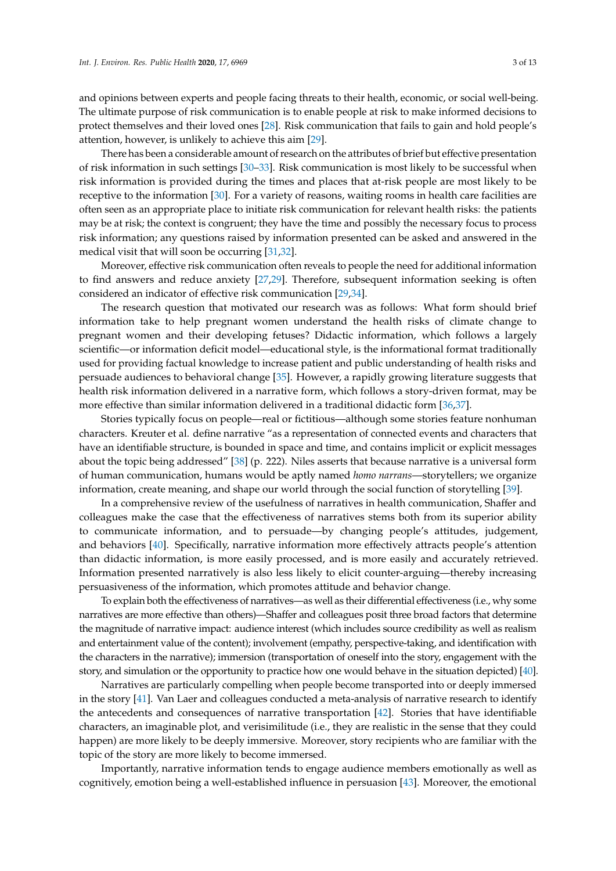and opinions between experts and people facing threats to their health, economic, or social well-being. The ultimate purpose of risk communication is to enable people at risk to make informed decisions to protect themselves and their loved ones [\[28\]](#page-11-7). Risk communication that fails to gain and hold people's attention, however, is unlikely to achieve this aim [\[29\]](#page-11-8).

There has been a considerable amount of research on the attributes of brief but effective presentation of risk information in such settings [\[30](#page-11-9)[–33\]](#page-11-10). Risk communication is most likely to be successful when risk information is provided during the times and places that at-risk people are most likely to be receptive to the information [\[30\]](#page-11-9). For a variety of reasons, waiting rooms in health care facilities are often seen as an appropriate place to initiate risk communication for relevant health risks: the patients may be at risk; the context is congruent; they have the time and possibly the necessary focus to process risk information; any questions raised by information presented can be asked and answered in the medical visit that will soon be occurring [\[31](#page-11-11)[,32\]](#page-11-12).

Moreover, effective risk communication often reveals to people the need for additional information to find answers and reduce anxiety [\[27,](#page-11-6)[29\]](#page-11-8). Therefore, subsequent information seeking is often considered an indicator of effective risk communication [\[29](#page-11-8)[,34\]](#page-11-13).

The research question that motivated our research was as follows: What form should brief information take to help pregnant women understand the health risks of climate change to pregnant women and their developing fetuses? Didactic information, which follows a largely scientific—or information deficit model—educational style, is the informational format traditionally used for providing factual knowledge to increase patient and public understanding of health risks and persuade audiences to behavioral change [\[35\]](#page-11-14). However, a rapidly growing literature suggests that health risk information delivered in a narrative form, which follows a story-driven format, may be more effective than similar information delivered in a traditional didactic form [\[36](#page-11-15)[,37\]](#page-11-16).

Stories typically focus on people—real or fictitious—although some stories feature nonhuman characters. Kreuter et al. define narrative "as a representation of connected events and characters that have an identifiable structure, is bounded in space and time, and contains implicit or explicit messages about the topic being addressed" [\[38\]](#page-11-17) (p. 222). Niles asserts that because narrative is a universal form of human communication, humans would be aptly named *homo narrans*—storytellers; we organize information, create meaning, and shape our world through the social function of storytelling [\[39\]](#page-12-0).

In a comprehensive review of the usefulness of narratives in health communication, Shaffer and colleagues make the case that the effectiveness of narratives stems both from its superior ability to communicate information, and to persuade—by changing people's attitudes, judgement, and behaviors [\[40\]](#page-12-1). Specifically, narrative information more effectively attracts people's attention than didactic information, is more easily processed, and is more easily and accurately retrieved. Information presented narratively is also less likely to elicit counter-arguing—thereby increasing persuasiveness of the information, which promotes attitude and behavior change.

To explain both the effectiveness of narratives—as well as their differential effectiveness (i.e., why some narratives are more effective than others)—Shaffer and colleagues posit three broad factors that determine the magnitude of narrative impact: audience interest (which includes source credibility as well as realism and entertainment value of the content); involvement (empathy, perspective-taking, and identification with the characters in the narrative); immersion (transportation of oneself into the story, engagement with the story, and simulation or the opportunity to practice how one would behave in the situation depicted) [\[40\]](#page-12-1).

Narratives are particularly compelling when people become transported into or deeply immersed in the story [\[41\]](#page-12-2). Van Laer and colleagues conducted a meta-analysis of narrative research to identify the antecedents and consequences of narrative transportation [\[42\]](#page-12-3). Stories that have identifiable characters, an imaginable plot, and verisimilitude (i.e., they are realistic in the sense that they could happen) are more likely to be deeply immersive. Moreover, story recipients who are familiar with the topic of the story are more likely to become immersed.

Importantly, narrative information tends to engage audience members emotionally as well as cognitively, emotion being a well-established influence in persuasion [\[43\]](#page-12-4). Moreover, the emotional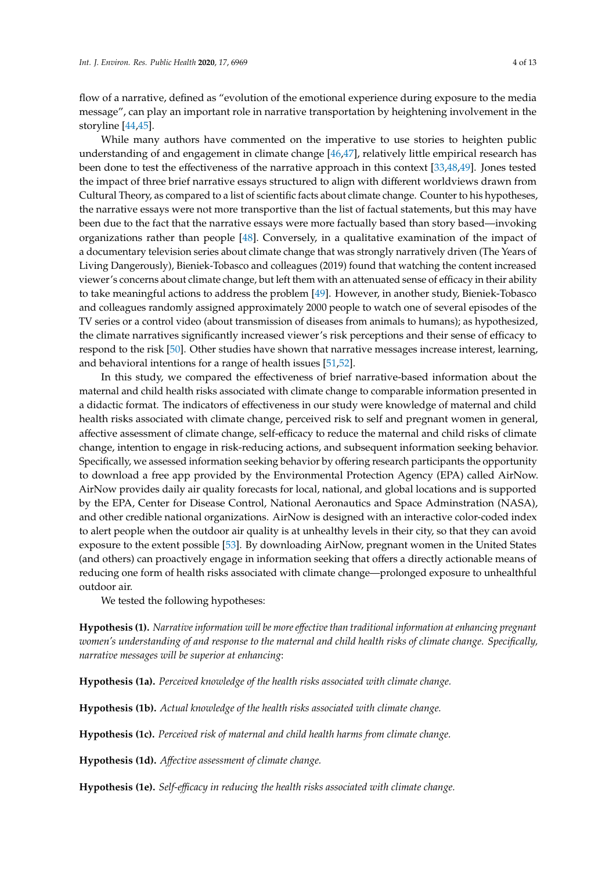flow of a narrative, defined as "evolution of the emotional experience during exposure to the media message", can play an important role in narrative transportation by heightening involvement in the storyline [\[44,](#page-12-5)[45\]](#page-12-6).

While many authors have commented on the imperative to use stories to heighten public understanding of and engagement in climate change [\[46,](#page-12-7)[47\]](#page-12-8), relatively little empirical research has been done to test the effectiveness of the narrative approach in this context [\[33,](#page-11-10)[48,](#page-12-9)[49\]](#page-12-10). Jones tested the impact of three brief narrative essays structured to align with different worldviews drawn from Cultural Theory, as compared to a list of scientific facts about climate change. Counter to his hypotheses, the narrative essays were not more transportive than the list of factual statements, but this may have been due to the fact that the narrative essays were more factually based than story based—invoking organizations rather than people [\[48\]](#page-12-9). Conversely, in a qualitative examination of the impact of a documentary television series about climate change that was strongly narratively driven (The Years of Living Dangerously), Bieniek-Tobasco and colleagues (2019) found that watching the content increased viewer's concerns about climate change, but left them with an attenuated sense of efficacy in their ability to take meaningful actions to address the problem [\[49\]](#page-12-10). However, in another study, Bieniek-Tobasco and colleagues randomly assigned approximately 2000 people to watch one of several episodes of the TV series or a control video (about transmission of diseases from animals to humans); as hypothesized, the climate narratives significantly increased viewer's risk perceptions and their sense of efficacy to respond to the risk [\[50\]](#page-12-11). Other studies have shown that narrative messages increase interest, learning, and behavioral intentions for a range of health issues [\[51](#page-12-12)[,52\]](#page-12-13).

In this study, we compared the effectiveness of brief narrative-based information about the maternal and child health risks associated with climate change to comparable information presented in a didactic format. The indicators of effectiveness in our study were knowledge of maternal and child health risks associated with climate change, perceived risk to self and pregnant women in general, affective assessment of climate change, self-efficacy to reduce the maternal and child risks of climate change, intention to engage in risk-reducing actions, and subsequent information seeking behavior. Specifically, we assessed information seeking behavior by offering research participants the opportunity to download a free app provided by the Environmental Protection Agency (EPA) called AirNow. AirNow provides daily air quality forecasts for local, national, and global locations and is supported by the EPA, Center for Disease Control, National Aeronautics and Space Adminstration (NASA), and other credible national organizations. AirNow is designed with an interactive color-coded index to alert people when the outdoor air quality is at unhealthy levels in their city, so that they can avoid exposure to the extent possible [\[53\]](#page-12-14). By downloading AirNow, pregnant women in the United States (and others) can proactively engage in information seeking that offers a directly actionable means of reducing one form of health risks associated with climate change—prolonged exposure to unhealthful outdoor air.

We tested the following hypotheses:

**Hypothesis (1).** *Narrative information will be more e*ff*ective than traditional information at enhancing pregnant women's understanding of and response to the maternal and child health risks of climate change. Specifically, narrative messages will be superior at enhancing*:

**Hypothesis (1a).** *Perceived knowledge of the health risks associated with climate change.*

**Hypothesis (1b).** *Actual knowledge of the health risks associated with climate change.*

**Hypothesis (1c).** *Perceived risk of maternal and child health harms from climate change.*

**Hypothesis (1d).** *A*ff*ective assessment of climate change.*

**Hypothesis (1e).** *Self-e*ffi*cacy in reducing the health risks associated with climate change.*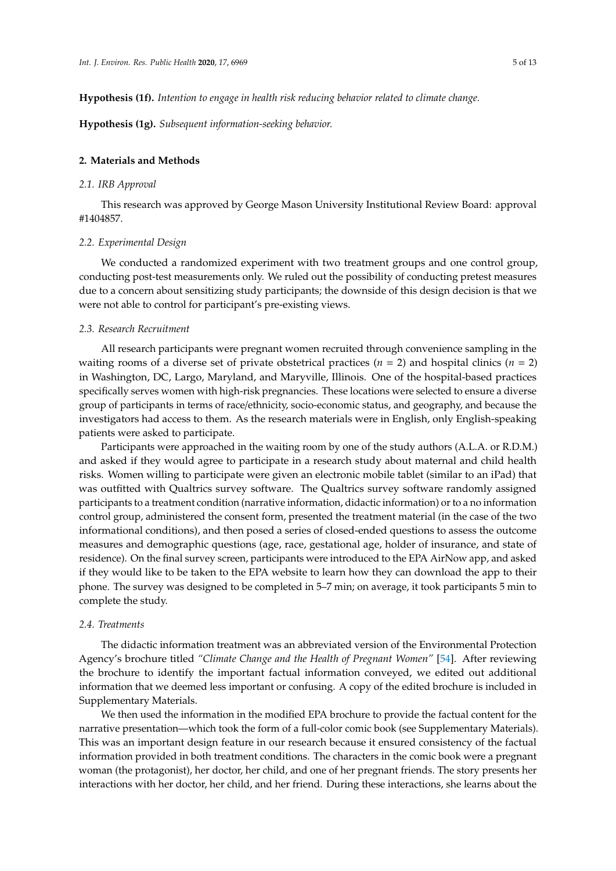**Hypothesis (1f).** *Intention to engage in health risk reducing behavior related to climate change.*

**Hypothesis (1g).** *Subsequent information-seeking behavior.*

#### **2. Materials and Methods**

#### *2.1. IRB Approval*

This research was approved by George Mason University Institutional Review Board: approval #1404857.

#### *2.2. Experimental Design*

We conducted a randomized experiment with two treatment groups and one control group, conducting post-test measurements only. We ruled out the possibility of conducting pretest measures due to a concern about sensitizing study participants; the downside of this design decision is that we were not able to control for participant's pre-existing views.

#### *2.3. Research Recruitment*

All research participants were pregnant women recruited through convenience sampling in the waiting rooms of a diverse set of private obstetrical practices ( $n = 2$ ) and hospital clinics ( $n = 2$ ) in Washington, DC, Largo, Maryland, and Maryville, Illinois. One of the hospital-based practices specifically serves women with high-risk pregnancies. These locations were selected to ensure a diverse group of participants in terms of race/ethnicity, socio-economic status, and geography, and because the investigators had access to them. As the research materials were in English, only English-speaking patients were asked to participate.

Participants were approached in the waiting room by one of the study authors (A.L.A. or R.D.M.) and asked if they would agree to participate in a research study about maternal and child health risks. Women willing to participate were given an electronic mobile tablet (similar to an iPad) that was outfitted with Qualtrics survey software. The Qualtrics survey software randomly assigned participants to a treatment condition (narrative information, didactic information) or to a no information control group, administered the consent form, presented the treatment material (in the case of the two informational conditions), and then posed a series of closed-ended questions to assess the outcome measures and demographic questions (age, race, gestational age, holder of insurance, and state of residence). On the final survey screen, participants were introduced to the EPA AirNow app, and asked if they would like to be taken to the EPA website to learn how they can download the app to their phone. The survey was designed to be completed in 5–7 min; on average, it took participants 5 min to complete the study.

#### *2.4. Treatments*

The didactic information treatment was an abbreviated version of the Environmental Protection Agency's brochure titled *"Climate Change and the Health of Pregnant Women"* [\[54\]](#page-12-15). After reviewing the brochure to identify the important factual information conveyed, we edited out additional information that we deemed less important or confusing. A copy of the edited brochure is included in Supplementary Materials.

We then used the information in the modified EPA brochure to provide the factual content for the narrative presentation—which took the form of a full-color comic book (see Supplementary Materials). This was an important design feature in our research because it ensured consistency of the factual information provided in both treatment conditions. The characters in the comic book were a pregnant woman (the protagonist), her doctor, her child, and one of her pregnant friends. The story presents her interactions with her doctor, her child, and her friend. During these interactions, she learns about the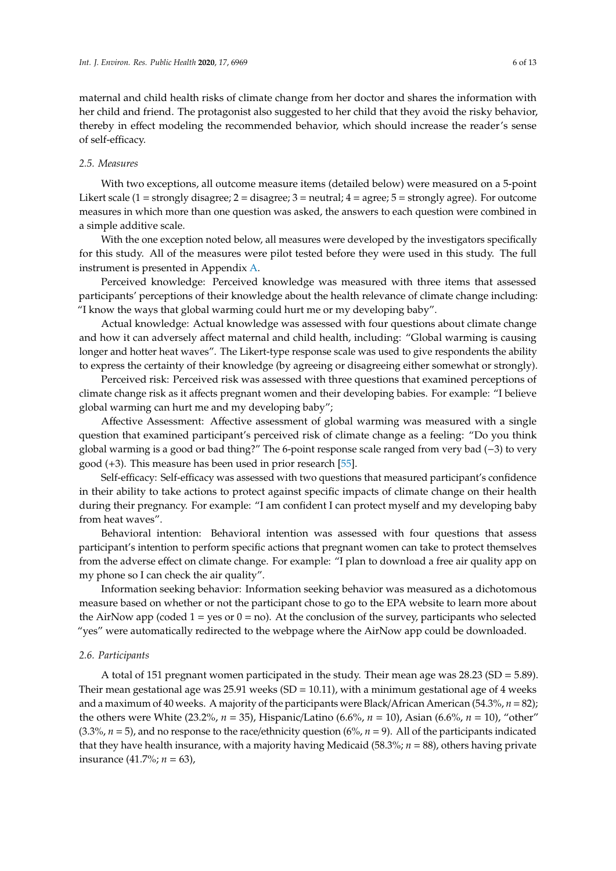maternal and child health risks of climate change from her doctor and shares the information with her child and friend. The protagonist also suggested to her child that they avoid the risky behavior, thereby in effect modeling the recommended behavior, which should increase the reader's sense of self-efficacy.

## *2.5. Measures*

With two exceptions, all outcome measure items (detailed below) were measured on a 5-point Likert scale (1 = strongly disagree; 2 = disagree; 3 = neutral; 4 = agree; 5 = strongly agree). For outcome measures in which more than one question was asked, the answers to each question were combined in a simple additive scale.

With the one exception noted below, all measures were developed by the investigators specifically for this study. All of the measures were pilot tested before they were used in this study. The full instrument is presented in Appendix [A.](#page-9-0)

Perceived knowledge: Perceived knowledge was measured with three items that assessed participants' perceptions of their knowledge about the health relevance of climate change including: "I know the ways that global warming could hurt me or my developing baby".

Actual knowledge: Actual knowledge was assessed with four questions about climate change and how it can adversely affect maternal and child health, including: "Global warming is causing longer and hotter heat waves". The Likert-type response scale was used to give respondents the ability to express the certainty of their knowledge (by agreeing or disagreeing either somewhat or strongly).

Perceived risk: Perceived risk was assessed with three questions that examined perceptions of climate change risk as it affects pregnant women and their developing babies. For example: "I believe global warming can hurt me and my developing baby";

Affective Assessment: Affective assessment of global warming was measured with a single question that examined participant's perceived risk of climate change as a feeling: "Do you think global warming is a good or bad thing?" The 6-point response scale ranged from very bad (−3) to very good  $(+3)$ . This measure has been used in prior research [\[55\]](#page-12-16).

Self-efficacy: Self-efficacy was assessed with two questions that measured participant's confidence in their ability to take actions to protect against specific impacts of climate change on their health during their pregnancy. For example: "I am confident I can protect myself and my developing baby from heat waves".

Behavioral intention: Behavioral intention was assessed with four questions that assess participant's intention to perform specific actions that pregnant women can take to protect themselves from the adverse effect on climate change. For example: "I plan to download a free air quality app on my phone so I can check the air quality".

Information seeking behavior: Information seeking behavior was measured as a dichotomous measure based on whether or not the participant chose to go to the EPA website to learn more about the AirNow app (coded  $1 = yes$  or  $0 = no$ ). At the conclusion of the survey, participants who selected "yes" were automatically redirected to the webpage where the AirNow app could be downloaded.

#### *2.6. Participants*

A total of 151 pregnant women participated in the study. Their mean age was 28.23 (SD = 5.89). Their mean gestational age was 25.91 weeks (SD = 10.11), with a minimum gestational age of 4 weeks and a maximum of 40 weeks. A majority of the participants were Black/African American (54.3%, *n* = 82); the others were White (23.2%, *n* = 35), Hispanic/Latino (6.6%, *n* = 10), Asian (6.6%, *n* = 10), "other"  $(3.3\%, n=5)$ , and no response to the race/ethnicity question  $(6\%, n=9)$ . All of the participants indicated that they have health insurance, with a majority having Medicaid (58.3%; *n* = 88), others having private insurance (41.7%; *n* = 63),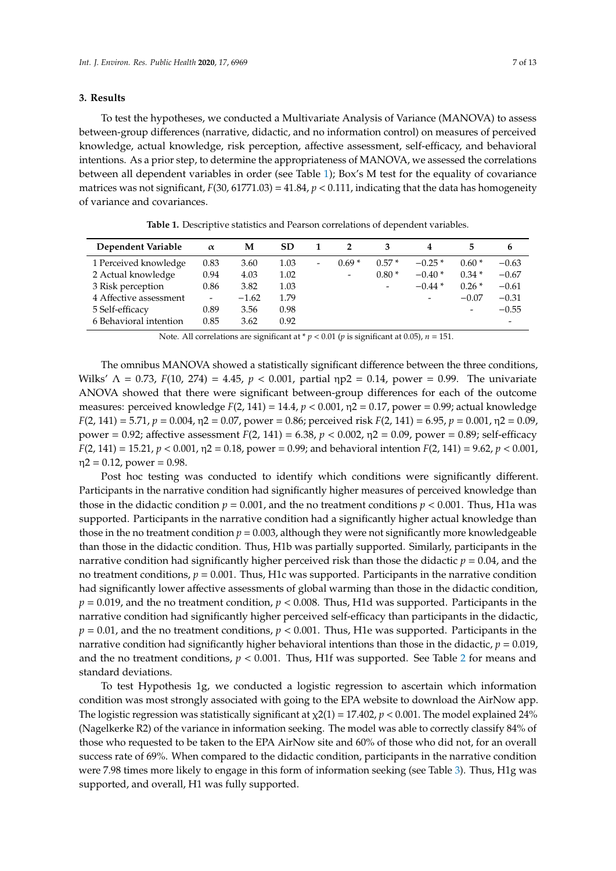## **3. Results**

To test the hypotheses, we conducted a Multivariate Analysis of Variance (MANOVA) to assess between-group differences (narrative, didactic, and no information control) on measures of perceived knowledge, actual knowledge, risk perception, affective assessment, self-efficacy, and behavioral intentions. As a prior step, to determine the appropriateness of MANOVA, we assessed the correlations between all dependent variables in order (see Table [1\)](#page-6-0); Box's M test for the equality of covariance matrices was not significant,  $F(30, 61771.03) = 41.84$ ,  $p < 0.111$ , indicating that the data has homogeneity of variance and covariances.

<span id="page-6-0"></span>

| Dependent Variable     | $\alpha$                 | М       | <b>SD</b> |                          | 2                            | 3                        | 4        |         | 6                        |
|------------------------|--------------------------|---------|-----------|--------------------------|------------------------------|--------------------------|----------|---------|--------------------------|
| 1 Perceived knowledge  | 0.83                     | 3.60    | 1.03      | $\overline{\phantom{0}}$ | $0.69 *$                     | $0.57*$                  | $-0.25*$ | $0.60*$ | $-0.63$                  |
| 2 Actual knowledge     | 0.94                     | 4.03    | 1.02      |                          | $\qquad \qquad \blacksquare$ | $0.80*$                  | $-0.40*$ | $0.34*$ | $-0.67$                  |
| 3 Risk perception      | 0.86                     | 3.82    | 1.03      |                          |                              | $\overline{\phantom{a}}$ | $-0.44*$ | $0.26*$ | $-0.61$                  |
| 4 Affective assessment | $\overline{\phantom{a}}$ | $-1.62$ | 1.79      |                          |                              |                          |          | $-0.07$ | $-0.31$                  |
| 5 Self-efficacy        | 0.89                     | 3.56    | 0.98      |                          |                              |                          |          | -       | $-0.55$                  |
| 6 Behavioral intention | 0.85                     | 3.62    | 0.92      |                          |                              |                          |          |         | $\overline{\phantom{0}}$ |

**Table 1.** Descriptive statistics and Pearson correlations of dependent variables.

Note. All correlations are significant at \* *p* < 0.01 (*p* is significant at 0.05), *n* = 151.

The omnibus MANOVA showed a statistically significant difference between the three conditions, Wilks' Λ = 0.73, *F*(10, 274) = 4.45, *p* < 0.001, partial ηp2 = 0.14, power = 0.99. The univariate ANOVA showed that there were significant between-group differences for each of the outcome measures: perceived knowledge  $F(2, 141) = 14.4$ ,  $p < 0.001$ ,  $n = 0.17$ , power = 0.99; actual knowledge *F*(2, 141) = 5.71, *p* = 0.004, η2 = 0.07, power = 0.86; perceived risk *F*(2, 141) = 6.95, *p* = 0.001, η2 = 0.09, power = 0.92; affective assessment *F*(2, 141) = 6.38, *p* < 0.002, η2 = 0.09, power = 0.89; self-efficacy *F*(2, 141) = 15.21, *p* < 0.001, η2 = 0.18, power = 0.99; and behavioral intention *F*(2, 141) = 9.62, *p* < 0.001,  $\eta$ 2 = 0.12, power = 0.98.

Post hoc testing was conducted to identify which conditions were significantly different. Participants in the narrative condition had significantly higher measures of perceived knowledge than those in the didactic condition  $p = 0.001$ , and the no treatment conditions  $p < 0.001$ . Thus, H1a was supported. Participants in the narrative condition had a significantly higher actual knowledge than those in the no treatment condition  $p = 0.003$ , although they were not significantly more knowledgeable than those in the didactic condition. Thus, H1b was partially supported. Similarly, participants in the narrative condition had significantly higher perceived risk than those the didactic  $p = 0.04$ , and the no treatment conditions,  $p = 0.001$ . Thus, H1c was supported. Participants in the narrative condition had significantly lower affective assessments of global warming than those in the didactic condition, *p* = 0.019, and the no treatment condition, *p* < 0.008. Thus, H1d was supported. Participants in the narrative condition had significantly higher perceived self-efficacy than participants in the didactic,  $p = 0.01$ , and the no treatment conditions,  $p < 0.001$ . Thus, H1e was supported. Participants in the narrative condition had significantly higher behavioral intentions than those in the didactic,  $p = 0.019$ , and the no treatment conditions,  $p < 0.001$ . Thus, H1f was supported. See Table [2](#page-7-0) for means and standard deviations.

To test Hypothesis 1g, we conducted a logistic regression to ascertain which information condition was most strongly associated with going to the EPA website to download the AirNow app. The logistic regression was statistically significant at  $\chi$ 2(1) = 17.402, *p* < 0.001. The model explained 24% (Nagelkerke R2) of the variance in information seeking. The model was able to correctly classify 84% of those who requested to be taken to the EPA AirNow site and 60% of those who did not, for an overall success rate of 69%. When compared to the didactic condition, participants in the narrative condition were 7.98 times more likely to engage in this form of information seeking (see Table [3\)](#page-7-1). Thus, H1g was supported, and overall, H1 was fully supported.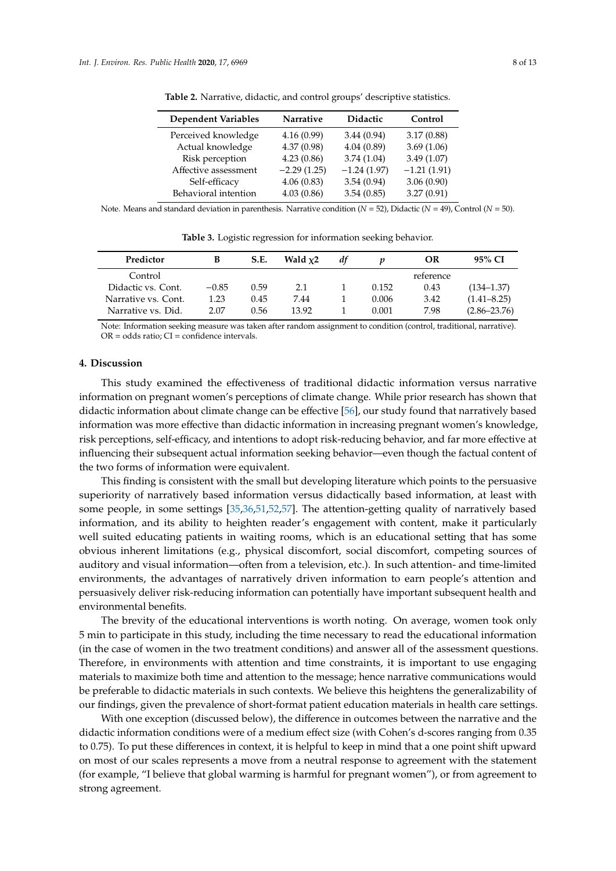<span id="page-7-0"></span>

| <b>Dependent Variables</b> | <b>Narrative</b> | <b>Didactic</b> | Control       |
|----------------------------|------------------|-----------------|---------------|
| Perceived knowledge        | 4.16(0.99)       | 3.44(0.94)      | 3.17(0.88)    |
| Actual knowledge           | 4.37(0.98)       | 4.04(0.89)      | 3.69(1.06)    |
| Risk perception            | 4.23(0.86)       | 3.74(1.04)      | 3.49(1.07)    |
| Affective assessment       | $-2.29(1.25)$    | $-1.24(1.97)$   | $-1.21(1.91)$ |
| Self-efficacy              | 4.06(0.83)       | 3.54(0.94)      | 3.06(0.90)    |
| Behavioral intention       | 4.03(0.86)       | 3.54(0.85)      | 3.27(0.91)    |
|                            |                  |                 |               |

**Table 2.** Narrative, didactic, and control groups' descriptive statistics.

<span id="page-7-1"></span>Note. Means and standard deviation in parenthesis. Narrative condition (*N* = 52), Didactic (*N* = 49), Control (*N* = 50).

| Predictor           |         | S.E. | Wald $x2$ | df |       | OR        | 95% CI           |
|---------------------|---------|------|-----------|----|-------|-----------|------------------|
| Control             |         |      |           |    |       | reference |                  |
| Didactic vs. Cont.  | $-0.85$ | 0.59 | 2.1       |    | 0.152 | 0.43      | $(134 - 1.37)$   |
| Narrative vs. Cont. | 1.23    | 0.45 | 7.44      |    | 0.006 | 3.42      | $(1.41 - 8.25)$  |
| Narrative vs. Did.  | 2.07    | 0.56 | 13.92     |    | 0.001 | 7.98      | $(2.86 - 23.76)$ |

**Table 3.** Logistic regression for information seeking behavior.

Note: Information seeking measure was taken after random assignment to condition (control, traditional, narrative).  $OR = odds ratio; CI = confidence intervals.$ 

## **4. Discussion**

This study examined the effectiveness of traditional didactic information versus narrative information on pregnant women's perceptions of climate change. While prior research has shown that didactic information about climate change can be effective [\[56\]](#page-12-17), our study found that narratively based information was more effective than didactic information in increasing pregnant women's knowledge, risk perceptions, self-efficacy, and intentions to adopt risk-reducing behavior, and far more effective at influencing their subsequent actual information seeking behavior—even though the factual content of the two forms of information were equivalent.

This finding is consistent with the small but developing literature which points to the persuasive superiority of narratively based information versus didactically based information, at least with some people, in some settings [\[35](#page-11-14)[,36](#page-11-15)[,51](#page-12-12)[,52](#page-12-13)[,57\]](#page-12-18). The attention-getting quality of narratively based information, and its ability to heighten reader's engagement with content, make it particularly well suited educating patients in waiting rooms, which is an educational setting that has some obvious inherent limitations (e.g., physical discomfort, social discomfort, competing sources of auditory and visual information—often from a television, etc.). In such attention- and time-limited environments, the advantages of narratively driven information to earn people's attention and persuasively deliver risk-reducing information can potentially have important subsequent health and environmental benefits.

The brevity of the educational interventions is worth noting. On average, women took only 5 min to participate in this study, including the time necessary to read the educational information (in the case of women in the two treatment conditions) and answer all of the assessment questions. Therefore, in environments with attention and time constraints, it is important to use engaging materials to maximize both time and attention to the message; hence narrative communications would be preferable to didactic materials in such contexts. We believe this heightens the generalizability of our findings, given the prevalence of short-format patient education materials in health care settings.

With one exception (discussed below), the difference in outcomes between the narrative and the didactic information conditions were of a medium effect size (with Cohen's d-scores ranging from 0.35 to 0.75). To put these differences in context, it is helpful to keep in mind that a one point shift upward on most of our scales represents a move from a neutral response to agreement with the statement (for example, "I believe that global warming is harmful for pregnant women"), or from agreement to strong agreement.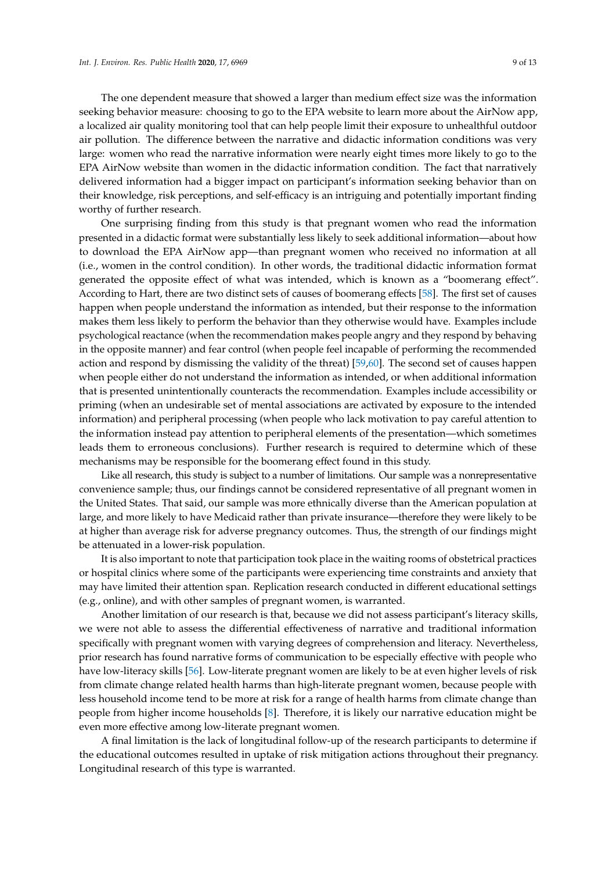The one dependent measure that showed a larger than medium effect size was the information seeking behavior measure: choosing to go to the EPA website to learn more about the AirNow app, a localized air quality monitoring tool that can help people limit their exposure to unhealthful outdoor air pollution. The difference between the narrative and didactic information conditions was very large: women who read the narrative information were nearly eight times more likely to go to the EPA AirNow website than women in the didactic information condition. The fact that narratively delivered information had a bigger impact on participant's information seeking behavior than on their knowledge, risk perceptions, and self-efficacy is an intriguing and potentially important finding worthy of further research.

One surprising finding from this study is that pregnant women who read the information presented in a didactic format were substantially less likely to seek additional information—about how to download the EPA AirNow app—than pregnant women who received no information at all (i.e., women in the control condition). In other words, the traditional didactic information format generated the opposite effect of what was intended, which is known as a "boomerang effect". According to Hart, there are two distinct sets of causes of boomerang effects [\[58\]](#page-12-19). The first set of causes happen when people understand the information as intended, but their response to the information makes them less likely to perform the behavior than they otherwise would have. Examples include psychological reactance (when the recommendation makes people angry and they respond by behaving in the opposite manner) and fear control (when people feel incapable of performing the recommended action and respond by dismissing the validity of the threat) [\[59,](#page-12-20)[60\]](#page-12-21). The second set of causes happen when people either do not understand the information as intended, or when additional information that is presented unintentionally counteracts the recommendation. Examples include accessibility or priming (when an undesirable set of mental associations are activated by exposure to the intended information) and peripheral processing (when people who lack motivation to pay careful attention to the information instead pay attention to peripheral elements of the presentation—which sometimes leads them to erroneous conclusions). Further research is required to determine which of these mechanisms may be responsible for the boomerang effect found in this study.

Like all research, this study is subject to a number of limitations. Our sample was a nonrepresentative convenience sample; thus, our findings cannot be considered representative of all pregnant women in the United States. That said, our sample was more ethnically diverse than the American population at large, and more likely to have Medicaid rather than private insurance—therefore they were likely to be at higher than average risk for adverse pregnancy outcomes. Thus, the strength of our findings might be attenuated in a lower-risk population.

It is also important to note that participation took place in the waiting rooms of obstetrical practices or hospital clinics where some of the participants were experiencing time constraints and anxiety that may have limited their attention span. Replication research conducted in different educational settings (e.g., online), and with other samples of pregnant women, is warranted.

Another limitation of our research is that, because we did not assess participant's literacy skills, we were not able to assess the differential effectiveness of narrative and traditional information specifically with pregnant women with varying degrees of comprehension and literacy. Nevertheless, prior research has found narrative forms of communication to be especially effective with people who have low-literacy skills [\[56\]](#page-12-17). Low-literate pregnant women are likely to be at even higher levels of risk from climate change related health harms than high-literate pregnant women, because people with less household income tend to be more at risk for a range of health harms from climate change than people from higher income households [\[8\]](#page-10-6). Therefore, it is likely our narrative education might be even more effective among low-literate pregnant women.

A final limitation is the lack of longitudinal follow-up of the research participants to determine if the educational outcomes resulted in uptake of risk mitigation actions throughout their pregnancy. Longitudinal research of this type is warranted.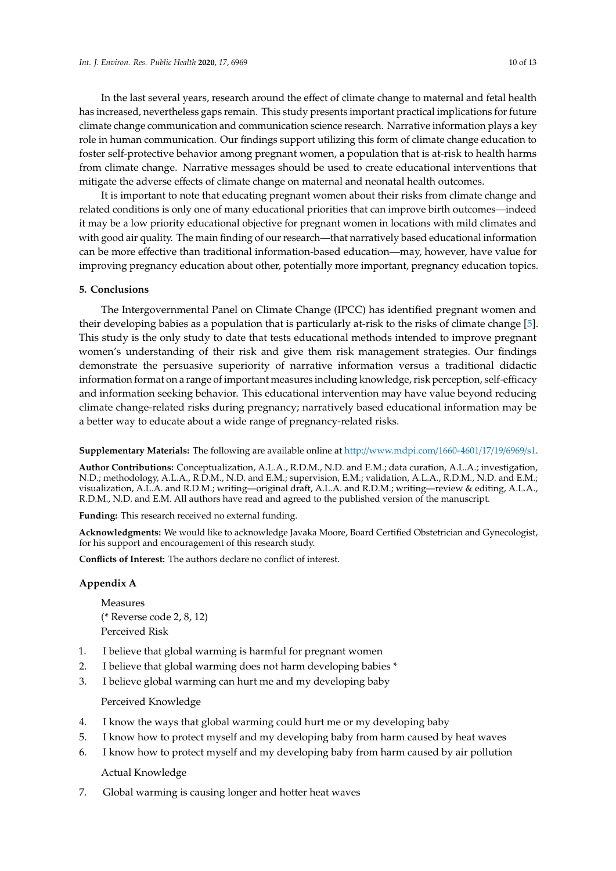In the last several years, research around the effect of climate change to maternal and fetal health has increased, nevertheless gaps remain. This study presents important practical implications for future climate change communication and communication science research. Narrative information plays a key role in human communication. Our findings support utilizing this form of climate change education to foster self-protective behavior among pregnant women, a population that is at-risk to health harms from climate change. Narrative messages should be used to create educational interventions that mitigate the adverse effects of climate change on maternal and neonatal health outcomes.

It is important to note that educating pregnant women about their risks from climate change and related conditions is only one of many educational priorities that can improve birth outcomes—indeed it may be a low priority educational objective for pregnant women in locations with mild climates and with good air quality. The main finding of our research—that narratively based educational information can be more effective than traditional information-based education—may, however, have value for improving pregnancy education about other, potentially more important, pregnancy education topics.

#### **5. Conclusions**

The Intergovernmental Panel on Climate Change (IPCC) has identified pregnant women and their developing babies as a population that is particularly at-risk to the risks of climate change [\[5\]](#page-10-4). This study is the only study to date that tests educational methods intended to improve pregnant women's understanding of their risk and give them risk management strategies. Our findings demonstrate the persuasive superiority of narrative information versus a traditional didactic information format on a range of important measures including knowledge, risk perception, self-efficacy and information seeking behavior. This educational intervention may have value beyond reducing climate change-related risks during pregnancy; narratively based educational information may be a better way to educate about a wide range of pregnancy-related risks.

#### **Supplementary Materials:** The following are available online at http://[www.mdpi.com](http://www.mdpi.com/1660-4601/17/19/6969/s1)/1660-4601/17/19/6969/s1.

**Author Contributions:** Conceptualization, A.L.A., R.D.M., N.D. and E.M.; data curation, A.L.A.; investigation, N.D.; methodology, A.L.A., R.D.M., N.D. and E.M.; supervision, E.M.; validation, A.L.A., R.D.M., N.D. and E.M.; visualization, A.L.A. and R.D.M.; writing—original draft, A.L.A. and R.D.M.; writing—review & editing, A.L.A., R.D.M., N.D. and E.M. All authors have read and agreed to the published version of the manuscript.

**Funding:** This research received no external funding.

**Acknowledgments:** We would like to acknowledge Javaka Moore, Board Certified Obstetrician and Gynecologist, for his support and encouragement of this research study.

**Conflicts of Interest:** The authors declare no conflict of interest.

# <span id="page-9-0"></span>**Appendix A**

Measures (\* Reverse code 2, 8, 12) Perceived Risk

- 1. I believe that global warming is harmful for pregnant women
- 2. I believe that global warming does not harm developing babies \*
- 3. I believe global warming can hurt me and my developing baby

Perceived Knowledge

- 4. I know the ways that global warming could hurt me or my developing baby
- 5. I know how to protect myself and my developing baby from harm caused by heat waves
- 6. I know how to protect myself and my developing baby from harm caused by air pollution Actual Knowledge
- 7. Global warming is causing longer and hotter heat waves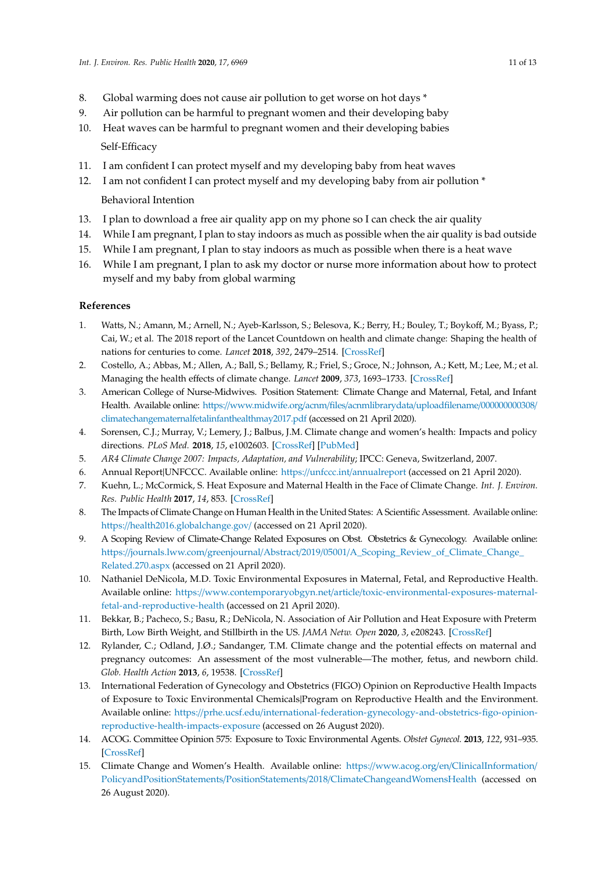- 8. Global warming does not cause air pollution to get worse on hot days \*
- 9. Air pollution can be harmful to pregnant women and their developing baby
- 10. Heat waves can be harmful to pregnant women and their developing babies

Self-Efficacy

- 11. I am confident I can protect myself and my developing baby from heat waves
- 12. I am not confident I can protect myself and my developing baby from air pollution \* Behavioral Intention
- 13. I plan to download a free air quality app on my phone so I can check the air quality
- 14. While I am pregnant, I plan to stay indoors as much as possible when the air quality is bad outside
- 15. While I am pregnant, I plan to stay indoors as much as possible when there is a heat wave
- 16. While I am pregnant, I plan to ask my doctor or nurse more information about how to protect myself and my baby from global warming

# **References**

- <span id="page-10-0"></span>1. Watts, N.; Amann, M.; Arnell, N.; Ayeb-Karlsson, S.; Belesova, K.; Berry, H.; Bouley, T.; Boykoff, M.; Byass, P.; Cai, W.; et al. The 2018 report of the Lancet Countdown on health and climate change: Shaping the health of nations for centuries to come. *Lancet* **2018**, *392*, 2479–2514. [\[CrossRef\]](http://dx.doi.org/10.1016/S0140-6736(18)32594-7)
- <span id="page-10-1"></span>2. Costello, A.; Abbas, M.; Allen, A.; Ball, S.; Bellamy, R.; Friel, S.; Groce, N.; Johnson, A.; Kett, M.; Lee, M.; et al. Managing the health effects of climate change. *Lancet* **2009**, *373*, 1693–1733. [\[CrossRef\]](http://dx.doi.org/10.1016/S0140-6736(09)60935-1)
- <span id="page-10-2"></span>3. American College of Nurse-Midwives. Position Statement: Climate Change and Maternal, Fetal, and Infant Health. Available online: https://[www.midwife.org](https://www.midwife.org/acnm/files/acnmlibrarydata/uploadfilename/000000000308/climatechangematernalfetalinfanthealthmay2017.pdf)/acnm/files/acnmlibrarydata/uploadfilename/000000000308/ [climatechangematernalfetalinfanthealthmay2017.pdf](https://www.midwife.org/acnm/files/acnmlibrarydata/uploadfilename/000000000308/climatechangematernalfetalinfanthealthmay2017.pdf) (accessed on 21 April 2020).
- <span id="page-10-3"></span>4. Sorensen, C.J.; Murray, V.; Lemery, J.; Balbus, J.M. Climate change and women's health: Impacts and policy directions. *PLoS Med.* **2018**, *15*, e1002603. [\[CrossRef\]](http://dx.doi.org/10.1371/journal.pmed.1002603) [\[PubMed\]](http://www.ncbi.nlm.nih.gov/pubmed/29990343)
- <span id="page-10-4"></span>5. *AR4 Climate Change 2007: Impacts, Adaptation, and Vulnerability*; IPCC: Geneva, Switzerland, 2007.
- 6. Annual Report|UNFCCC. Available online: https://unfccc.int/[annualreport](https://unfccc.int/annualreport) (accessed on 21 April 2020).
- <span id="page-10-5"></span>7. Kuehn, L.; McCormick, S. Heat Exposure and Maternal Health in the Face of Climate Change. *Int. J. Environ. Res. Public Health* **2017**, *14*, 853. [\[CrossRef\]](http://dx.doi.org/10.3390/ijerph14080853)
- <span id="page-10-6"></span>8. The Impacts of Climate Change on Human Health in the United States: A Scientific Assessment. Available online: https://[health2016.globalchange.gov](https://health2016.globalchange.gov/)/ (accessed on 21 April 2020).
- <span id="page-10-7"></span>9. A Scoping Review of Climate-Change Related Exposures on Obst. Obstetrics & Gynecology. Available online: https://journals.lww.com/greenjournal/Abstract/2019/05001/[A\\_Scoping\\_Review\\_of\\_Climate\\_Change\\_](https://journals.lww.com/greenjournal/Abstract/2019/05001/A_Scoping_Review_of_Climate_Change_Related.270.aspx) [Related.270.aspx](https://journals.lww.com/greenjournal/Abstract/2019/05001/A_Scoping_Review_of_Climate_Change_Related.270.aspx) (accessed on 21 April 2020).
- <span id="page-10-10"></span>10. Nathaniel DeNicola, M.D. Toxic Environmental Exposures in Maternal, Fetal, and Reproductive Health. Available online: https://www.contemporaryobgyn.net/article/[toxic-environmental-exposures-maternal](https://www.contemporaryobgyn.net/article/toxic-environmental-exposures-maternal-fetal-and-reproductive-health)[fetal-and-reproductive-health](https://www.contemporaryobgyn.net/article/toxic-environmental-exposures-maternal-fetal-and-reproductive-health) (accessed on 21 April 2020).
- <span id="page-10-8"></span>11. Bekkar, B.; Pacheco, S.; Basu, R.; DeNicola, N. Association of Air Pollution and Heat Exposure with Preterm Birth, Low Birth Weight, and Stillbirth in the US. *JAMA Netw. Open* **2020**, *3*, e208243. [\[CrossRef\]](http://dx.doi.org/10.1001/jamanetworkopen.2020.8243)
- <span id="page-10-9"></span>12. Rylander, C.; Odland, J.Ø.; Sandanger, T.M. Climate change and the potential effects on maternal and pregnancy outcomes: An assessment of the most vulnerable—The mother, fetus, and newborn child. *Glob. Health Action* **2013**, *6*, 19538. [\[CrossRef\]](http://dx.doi.org/10.3402/gha.v6i0.19538)
- <span id="page-10-11"></span>13. International Federation of Gynecology and Obstetrics (FIGO) Opinion on Reproductive Health Impacts of Exposure to Toxic Environmental Chemicals|Program on Reproductive Health and the Environment. Available online: https://prhe.ucsf.edu/[international-federation-gynecology-and-obstetrics-figo-opinion](https://prhe.ucsf.edu/international-federation-gynecology-and-obstetrics-figo-opinion-reproductive-health-impacts-exposure)[reproductive-health-impacts-exposure](https://prhe.ucsf.edu/international-federation-gynecology-and-obstetrics-figo-opinion-reproductive-health-impacts-exposure) (accessed on 26 August 2020).
- 14. ACOG. Committee Opinion 575: Exposure to Toxic Environmental Agents. *Obstet Gynecol.* **2013**, *122*, 931–935. [\[CrossRef\]](http://dx.doi.org/10.1097/01.AOG.0000435416.21944.54)
- <span id="page-10-12"></span>15. Climate Change and Women's Health. Available online: https://www.acog.org/en/[ClinicalInformation](https://www.acog.org/en/Clinical Information/Policy and Position Statements/Position Statements/2018/Climate Change and Womens Health)/ PolicyandPositionStatements/PositionStatements/2018/[ClimateChangeandWomensHealth](https://www.acog.org/en/Clinical Information/Policy and Position Statements/Position Statements/2018/Climate Change and Womens Health) (accessed on 26 August 2020).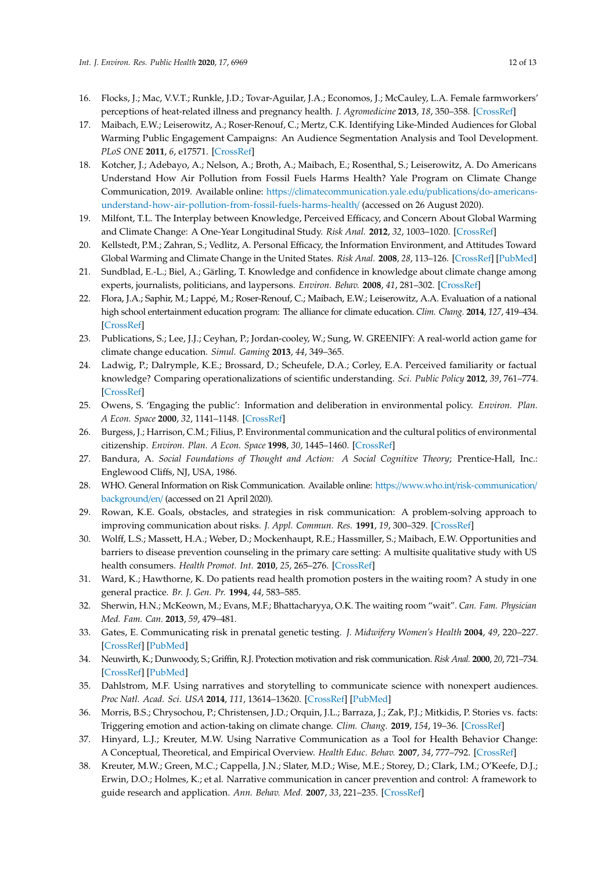- <span id="page-11-0"></span>16. Flocks, J.; Mac, V.V.T.; Runkle, J.D.; Tovar-Aguilar, J.A.; Economos, J.; McCauley, L.A. Female farmworkers' perceptions of heat-related illness and pregnancy health. *J. Agromedicine* **2013**, *18*, 350–358. [\[CrossRef\]](http://dx.doi.org/10.1080/1059924X.2013.826607)
- <span id="page-11-1"></span>17. Maibach, E.W.; Leiserowitz, A.; Roser-Renouf, C.; Mertz, C.K. Identifying Like-Minded Audiences for Global Warming Public Engagement Campaigns: An Audience Segmentation Analysis and Tool Development. *PLoS ONE* **2011**, *6*, e17571. [\[CrossRef\]](http://dx.doi.org/10.1371/journal.pone.0017571)
- <span id="page-11-2"></span>18. Kotcher, J.; Adebayo, A.; Nelson, A.; Broth, A.; Maibach, E.; Rosenthal, S.; Leiserowitz, A. Do Americans Understand How Air Pollution from Fossil Fuels Harms Health? Yale Program on Climate Change Communication, 2019. Available online: https://[climatecommunication.yale.edu](https://climatecommunication.yale.edu/publications/do-americans-understand-how-air-pollution-from-fossil-fuels-harms-health/)/publications/do-americans[understand-how-air-pollution-from-fossil-fuels-harms-health](https://climatecommunication.yale.edu/publications/do-americans-understand-how-air-pollution-from-fossil-fuels-harms-health/)/ (accessed on 26 August 2020).
- <span id="page-11-3"></span>19. Milfont, T.L. The Interplay between Knowledge, Perceived Efficacy, and Concern About Global Warming and Climate Change: A One-Year Longitudinal Study. *Risk Anal.* **2012**, *32*, 1003–1020. [\[CrossRef\]](http://dx.doi.org/10.1111/j.1539-6924.2012.01800.x)
- 20. Kellstedt, P.M.; Zahran, S.; Vedlitz, A. Personal Efficacy, the Information Environment, and Attitudes Toward Global Warming and Climate Change in the United States. *Risk Anal.* **2008**, *28*, 113–126. [\[CrossRef\]](http://dx.doi.org/10.1111/j.1539-6924.2008.01010.x) [\[PubMed\]](http://www.ncbi.nlm.nih.gov/pubmed/18304110)
- <span id="page-11-4"></span>21. Sundblad, E.-L.; Biel, A.; Gärling, T. Knowledge and confidence in knowledge about climate change among experts, journalists, politicians, and laypersons. *Environ. Behav.* **2008**, *41*, 281–302. [\[CrossRef\]](http://dx.doi.org/10.1177/0013916508314998)
- 22. Flora, J.A.; Saphir, M.; Lappé, M.; Roser-Renouf, C.; Maibach, E.W.; Leiserowitz, A.A. Evaluation of a national high school entertainment education program: The alliance for climate education. *Clim. Chang.* **2014**, *127*, 419–434. [\[CrossRef\]](http://dx.doi.org/10.1007/s10584-014-1274-1)
- 23. Publications, S.; Lee, J.J.; Ceyhan, P.; Jordan-cooley, W.; Sung, W. GREENIFY: A real-world action game for climate change education. *Simul. Gaming* **2013**, *44*, 349–365.
- 24. Ladwig, P.; Dalrymple, K.E.; Brossard, D.; Scheufele, D.A.; Corley, E.A. Perceived familiarity or factual knowledge? Comparing operationalizations of scientific understanding. *Sci. Public Policy* **2012**, *39*, 761–774. [\[CrossRef\]](http://dx.doi.org/10.1093/scipol/scs048)
- 25. Owens, S. 'Engaging the public': Information and deliberation in environmental policy. *Environ. Plan. A Econ. Space* **2000**, *32*, 1141–1148. [\[CrossRef\]](http://dx.doi.org/10.1068/a3330)
- <span id="page-11-5"></span>26. Burgess, J.; Harrison, C.M.; Filius, P. Environmental communication and the cultural politics of environmental citizenship. *Environ. Plan. A Econ. Space* **1998**, *30*, 1445–1460. [\[CrossRef\]](http://dx.doi.org/10.1068/a301445)
- <span id="page-11-6"></span>27. Bandura, A. *Social Foundations of Thought and Action: A Social Cognitive Theory*; Prentice-Hall, Inc.: Englewood Cliffs, NJ, USA, 1986.
- <span id="page-11-7"></span>28. WHO. General Information on Risk Communication. Available online: https://www.who.int/[risk-communication](https://www.who.int/risk-communication/background/en/)/ [background](https://www.who.int/risk-communication/background/en/)/en/ (accessed on 21 April 2020).
- <span id="page-11-8"></span>29. Rowan, K.E. Goals, obstacles, and strategies in risk communication: A problem-solving approach to improving communication about risks. *J. Appl. Commun. Res.* **1991**, *19*, 300–329. [\[CrossRef\]](http://dx.doi.org/10.1080/00909889109365311)
- <span id="page-11-9"></span>30. Wolff, L.S.; Massett, H.A.; Weber, D.; Mockenhaupt, R.E.; Hassmiller, S.; Maibach, E.W. Opportunities and barriers to disease prevention counseling in the primary care setting: A multisite qualitative study with US health consumers. *Health Promot. Int.* **2010**, *25*, 265–276. [\[CrossRef\]](http://dx.doi.org/10.1093/heapro/daq030)
- <span id="page-11-11"></span>31. Ward, K.; Hawthorne, K. Do patients read health promotion posters in the waiting room? A study in one general practice. *Br. J. Gen. Pr.* **1994**, *44*, 583–585.
- <span id="page-11-12"></span>32. Sherwin, H.N.; McKeown, M.; Evans, M.F.; Bhattacharyya, O.K. The waiting room "wait". *Can. Fam. Physician Med. Fam. Can.* **2013**, *59*, 479–481.
- <span id="page-11-10"></span>33. Gates, E. Communicating risk in prenatal genetic testing. *J. Midwifery Women's Health* **2004**, *49*, 220–227. [\[CrossRef\]](http://dx.doi.org/10.1016/j.jmwh.2004.02.014) [\[PubMed\]](http://www.ncbi.nlm.nih.gov/pubmed/15134675)
- <span id="page-11-13"></span>34. Neuwirth, K.; Dunwoody, S.; Griffin, R.J. Protection motivation and risk communication. *Risk Anal.* **2000**, *20*, 721–734. [\[CrossRef\]](http://dx.doi.org/10.1111/0272-4332.205065) [\[PubMed\]](http://www.ncbi.nlm.nih.gov/pubmed/11110218)
- <span id="page-11-14"></span>35. Dahlstrom, M.F. Using narratives and storytelling to communicate science with nonexpert audiences. *Proc Natl. Acad. Sci. USA* **2014**, *111*, 13614–13620. [\[CrossRef\]](http://dx.doi.org/10.1073/pnas.1320645111) [\[PubMed\]](http://www.ncbi.nlm.nih.gov/pubmed/25225368)
- <span id="page-11-15"></span>36. Morris, B.S.; Chrysochou, P.; Christensen, J.D.; Orquin, J.L.; Barraza, J.; Zak, P.J.; Mitkidis, P. Stories vs. facts: Triggering emotion and action-taking on climate change. *Clim. Chang.* **2019**, *154*, 19–36. [\[CrossRef\]](http://dx.doi.org/10.1007/s10584-019-02425-6)
- <span id="page-11-16"></span>37. Hinyard, L.J.; Kreuter, M.W. Using Narrative Communication as a Tool for Health Behavior Change: A Conceptual, Theoretical, and Empirical Overview. *Health Educ. Behav.* **2007**, *34*, 777–792. [\[CrossRef\]](http://dx.doi.org/10.1177/1090198106291963)
- <span id="page-11-17"></span>38. Kreuter, M.W.; Green, M.C.; Cappella, J.N.; Slater, M.D.; Wise, M.E.; Storey, D.; Clark, I.M.; O'Keefe, D.J.; Erwin, D.O.; Holmes, K.; et al. Narrative communication in cancer prevention and control: A framework to guide research and application. *Ann. Behav. Med.* **2007**, *33*, 221–235. [\[CrossRef\]](http://dx.doi.org/10.1007/BF02879904)